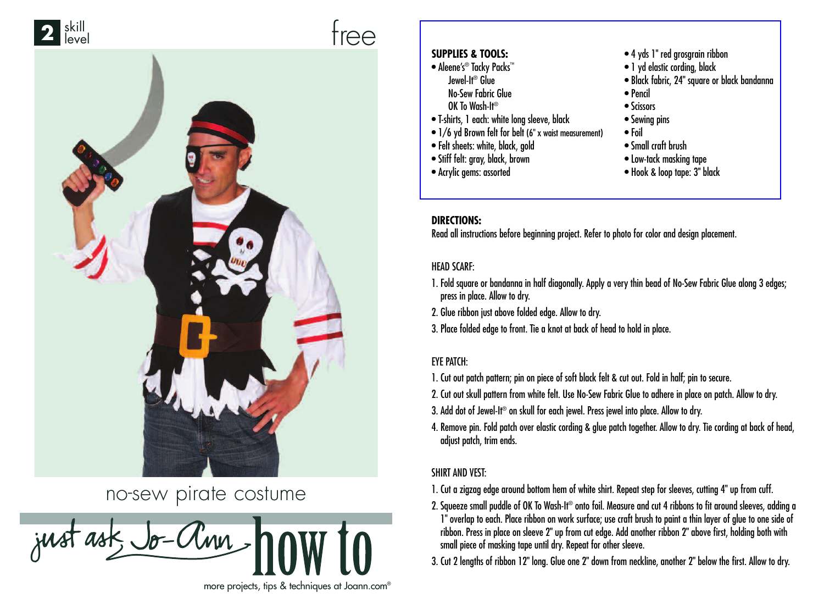



# no-sew pirate costume

just ask, Jo-Clinn more projects, tips & techniques at Joann.com®

#### **SUPPLIES & TOOLS:**

- Aleene's® Tacky Packs™ Jewel-It® Glue No-Sew Fabric Glue OK To Wash-It®
- T-shirts, 1 each: white long sleeve, black
- [1/6 yd Brown felt for belt \(6" x waist measurement\)](http://www.joann.com)
- Felt sheets: white, black, gold
- Stiff felt: gray, black, brown
- Acrylic gems: assorted
- 4 yds 1" red grosgrain ribbon
- 1 yd elastic cording, black
- Black fabric, 24" square or black bandanna
- Pencil
- Scissors
- Sewing pins
- Foil
- Small craft brush
- Low-tack masking tape
- Hook & loop tape: 3" black

### **DIRECTIONS:**

Read all instructions before beginning project. Refer to photo for color and design placement.

#### HEAD SCARF:

- 1. Fold square or bandanna in half diagonally. Apply a very thin bead of No-Sew Fabric Glue along 3 edges; press in place. Allow to dry.
- 2. Glue ribbon just above folded edge. Allow to dry.
- 3. Place folded edge to front. Tie a knot at back of head to hold in place.

#### EYE PATCH:

- 1. Cut out patch pattern; pin on piece of soft black felt & cut out. Fold in half; pin to secure.
- 2. Cut out skull pattern from white felt. Use No-Sew Fabric Glue to adhere in place on patch. Allow to dry.
- 3. Add dot of Jewel-It® on skull for each jewel. Press jewel into place. Allow to dry.
- 4. Remove pin. Fold patch over elastic cording & glue patch together. Allow to dry. Tie cording at back of head, adjust patch, trim ends.

#### SHIRT AND VEST:

- 1. Cut a zigzag edge around bottom hem of white shirt. Repeat step for sleeves, cutting 4" up from cuff.
- 2. Squeeze small puddle of OK To Wash-It® onto foil. Measure and cut 4 ribbons to fit around sleeves, adding a 1" overlap to each. Place ribbon on work surface; use craft brush to paint a thin layer of glue to one side of ribbon. Press in place on sleeve 2" up from cut edge. Add another ribbon 2" above first, holding both with small piece of masking tape until dry. Repeat for other sleeve.
- 3. Cut 2 lengths of ribbon 12" long. Glue one 2" down from neckline, another 2" below the first. Allow to dry.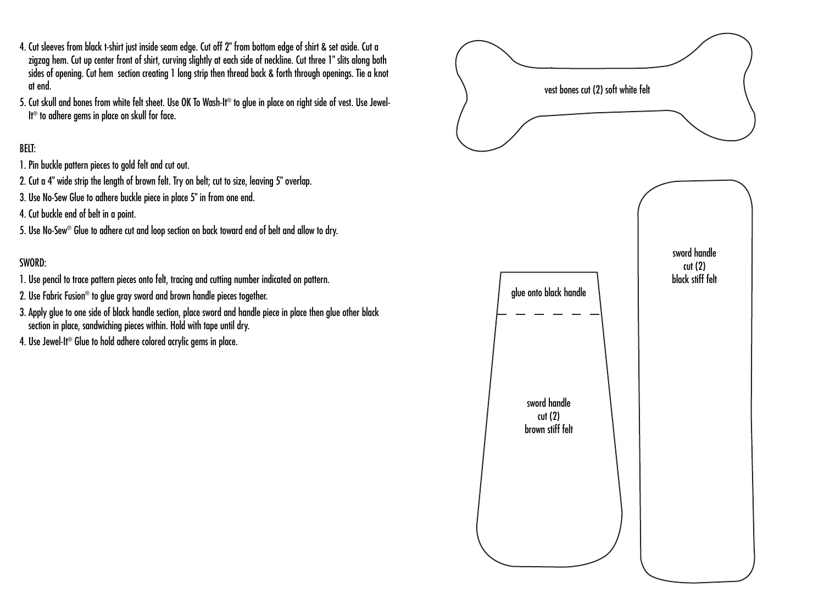- 4. Cut sleeves from black t-shirt just inside seam edge. Cut off 2" from bottom edge of shirt & set aside. Cut a zigzag hem. Cut up center front of shirt, curving slightly at each side of neckline. Cut three 1" slits along both sides of opening. Cut hem section creating 1 long strip then thread back & forth through openings. Tie a knot at end.
- 5. Cut skull and bones from white felt sheet. Use OK To Wash-It® to glue in place on right side of vest. Use Jewel-It<sup>®</sup> to adhere gems in place on skull for face.

## BELT:

- 1. Pin buckle pattern pieces to gold felt and cut out.
- 2. Cut a 4" wide strip the length of brown felt. Try on belt; cut to size, leaving 5" overlap.
- 3. Use No-Sew Glue to adhere buckle piece in place 5" in from one end.
- 4. Cut buckle end of belt in a point.
- 5. Use No-Sew® Glue to adhere cut and loop section on back toward end of belt and allow to dry.

#### SWORD:

- 1. Use pencil to trace pattern pieces onto felt, tracing and cutting number indicated on pattern.
- 2. Use Fabric Fusion® to glue gray sword and brown handle pieces together.
- 3. Apply glue to one side of black handle section, place sword and handle piece in place then glue other black section in place, sandwiching pieces within. Hold with tape until dry.
- 4. Use Jewel-It<sup>®</sup> Glue to hold adhere colored acrylic gems in place.